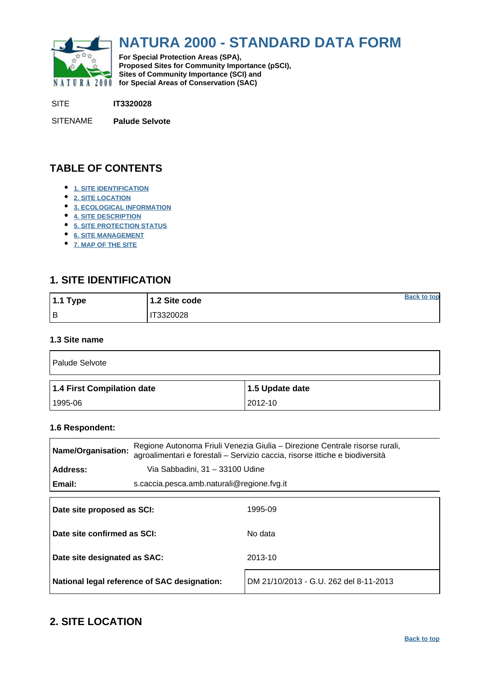<span id="page-0-0"></span>

# **NATURA 2000 - STANDARD DATA FORM**

**For Special Protection Areas (SPA), Proposed Sites for Community Importance (pSCI), Sites of Community Importance (SCI) and NATURA 2000 for Special Areas of Conservation (SAC)** 

SITE **IT3320028**

SITENAME **Palude Selvote**

## **TABLE OF CONTENTS**

- **[1. SITE IDENTIFICATION](#page-0-1)**
- **[2. SITE LOCATION](#page-0-2)**
- **[3. ECOLOGICAL INFORMATION](#page-1-0)**
- **[4. SITE DESCRIPTION](#page-5-0)**
- **[5. SITE PROTECTION STATUS](#page-6-0)**
- **[6. SITE MANAGEMENT](#page-7-0)**
- **[7. MAP OF THE SITE](#page-7-1)**

## <span id="page-0-1"></span>**1. SITE IDENTIFICATION**

| 1.1 Type | 1.2 Site code    | <b>Back to top</b> |
|----------|------------------|--------------------|
| Iв       | <b>IT3320028</b> |                    |

#### **1.3 Site name**

| Palude Selvote             |                 |
|----------------------------|-----------------|
| 1.4 First Compilation date | 1.5 Update date |
|                            |                 |

#### **1.6 Respondent:**

| Name/Organisation:           |                                            | Regione Autonoma Friuli Venezia Giulia - Direzione Centrale risorse rurali,<br>agroalimentari e forestali - Servizio caccia, risorse ittiche e biodiversità |
|------------------------------|--------------------------------------------|-------------------------------------------------------------------------------------------------------------------------------------------------------------|
| Address:                     | Via Sabbadini, 31 - 33100 Udine            |                                                                                                                                                             |
| Email:                       | s.caccia.pesca.amb.naturali@regione.fvg.it |                                                                                                                                                             |
| Date site proposed as SCI:   |                                            | 1995-09                                                                                                                                                     |
| Date site confirmed as SCI:  |                                            | No data                                                                                                                                                     |
| Date site designated as SAC: |                                            | 2013-10                                                                                                                                                     |

## <span id="page-0-2"></span>**2. SITE LOCATION**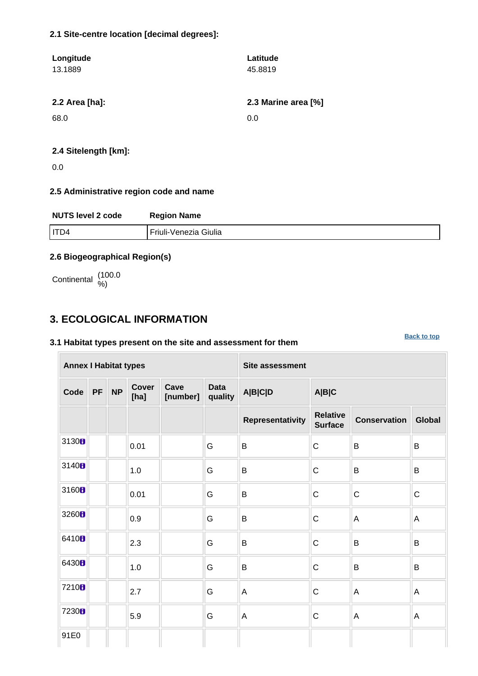#### **2.1 Site-centre location [decimal degrees]:**

| Longitude<br>13.1889 | Latitude<br>45.8819 |
|----------------------|---------------------|
| 2.2 Area [ha]:       | 2.3 Marine area [%] |
| 68.0                 | 0.0                 |
|                      |                     |

#### **2.4 Sitelength [km]:**

0.0

### **2.5 Administrative region code and name**

| <b>NUTS level 2 code</b> | <b>Region Name</b>    |
|--------------------------|-----------------------|
| ITD4                     | Friuli-Venezia Giulia |

### **2.6 Biogeographical Region(s)**

Continental (100.0

## <span id="page-1-0"></span>**3. ECOLOGICAL INFORMATION**

### **3.1 Habitat types present on the site and assessment for them**

**Annex I Habitat types Site assessment Code PF NP Cover [ha] Cave [number] Data quality A|B|C|D A|B|C Representativity Relative Surface Conservation Global** 3130 **b**  $\begin{array}{|c|c|c|c|c|}\n\hline\n\text{0.01}\n\end{array}$  **G** B C B B 3140 **1**  $\begin{array}{|c|c|c|c|c|c|}\n\hline\n\end{array}$  6 **B** C **B** B <sup>3160</sup> 0.01 G B C C C 3260  $\begin{array}{|c|c|c|c|c|}\n\hline\n\end{array}$   $\begin{array}{|c|c|c|c|}\n\hline\nG & B & C & A & A\n\end{array}$ <sup>6410</sup> 2.3 G B C B B <sup>6430</sup> 1.0 G B C B B  $7210$   $\blacksquare$   $\blacksquare$   $2.7$   $\blacksquare$  G  $\blacksquare$  A  $\blacksquare$  C  $\blacksquare$  A  $\blacksquare$  A  $\blacksquare$  A 7230  $\blacksquare$  5.9 G A C A A 91E0

**[Back to top](#page-0-0)**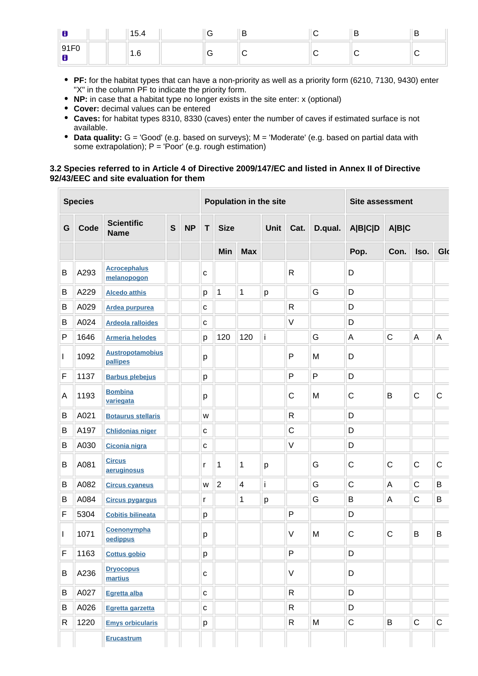| 8                                                        | $\overline{\phantom{0}}$<br>$\mathsf{v}$ . T | ∽ | - |  | ◡ |
|----------------------------------------------------------|----------------------------------------------|---|---|--|---|
| $\Gamma$<br>Q <sub>1</sub><br>ັບ<br><u>JII</u><br>o<br>o | .                                            |   |   |  |   |

- **PF:** for the habitat types that can have a non-priority as well as a priority form (6210, 7130, 9430) enter "X" in the column PF to indicate the priority form.
- **NP:** in case that a habitat type no longer exists in the site enter: x (optional)
- **Cover:** decimal values can be entered
- **Caves:** for habitat types 8310, 8330 (caves) enter the number of caves if estimated surface is not available.
- **Data quality:** G = 'Good' (e.g. based on surveys); M = 'Moderate' (e.g. based on partial data with some extrapolation);  $P = 'Poor'$  (e.g. rough estimation)

#### **3.2 Species referred to in Article 4 of Directive 2009/147/EC and listed in Annex II of Directive 92/43/EEC and site evaluation for them**

| <b>Species</b> |      |                                     |              | Population in the site |              |                |                         |             | <b>Site assessment</b> |         |                |              |              |              |
|----------------|------|-------------------------------------|--------------|------------------------|--------------|----------------|-------------------------|-------------|------------------------|---------|----------------|--------------|--------------|--------------|
| G              | Code | <b>Scientific</b><br><b>Name</b>    | $\mathbf{s}$ | <b>NP</b>              | T            | <b>Size</b>    |                         | <b>Unit</b> | Cat.                   | D.qual. | <b>A B C D</b> | A B C        |              |              |
|                |      |                                     |              |                        |              | Min            | <b>Max</b>              |             |                        |         | Pop.           | Con.         | Iso.         | Glo          |
| B              | A293 | <b>Acrocephalus</b><br>melanopogon  |              |                        | C            |                |                         |             | $\mathsf R$            |         | D              |              |              |              |
| B              | A229 | <b>Alcedo atthis</b>                |              |                        | р            | 1              | 1                       | p           |                        | G       | D              |              |              |              |
| B              | A029 | <b>Ardea purpurea</b>               |              |                        | С            |                |                         |             | $\mathsf R$            |         | D              |              |              |              |
| B              | A024 | <b>Ardeola ralloides</b>            |              |                        | $\mathbf{C}$ |                |                         |             | $\vee$                 |         | D              |              |              |              |
| $\mathsf{P}$   | 1646 | <b>Armeria helodes</b>              |              |                        | p            | 120            | 120                     | i           |                        | G       | A              | $\mathsf{C}$ | A            | Α            |
| $\mathbf{I}$   | 1092 | <b>Austropotamobius</b><br>pallipes |              |                        | р            |                |                         |             | P                      | M       | D              |              |              |              |
| F              | 1137 | <b>Barbus plebejus</b>              |              |                        | p            |                |                         |             | P                      | P       | D              |              |              |              |
| A              | 1193 | <b>Bombina</b><br>variegata         |              |                        | р            |                |                         |             | $\mathsf{C}$           | M       | C              | B            | $\mathsf{C}$ | $\mathsf{C}$ |
| B              | A021 | <b>Botaurus stellaris</b>           |              |                        | W            |                |                         |             | $\mathsf{R}$           |         | D              |              |              |              |
| B              | A197 | <b>Chlidonias niger</b>             |              |                        | $\mathbf{C}$ |                |                         |             | $\mathsf C$            |         | D              |              |              |              |
| В              | A030 | Ciconia nigra                       |              |                        | C            |                |                         |             | $\vee$                 |         | D              |              |              |              |
| B              | A081 | <b>Circus</b><br>aeruginosus        |              |                        | r            | 1              | 1                       | p           |                        | G       | C              | $\mathsf{C}$ | $\mathsf{C}$ | $\mathsf{C}$ |
| В              | A082 | <b>Circus cyaneus</b>               |              |                        | W            | $\overline{2}$ | $\overline{\mathbf{4}}$ | i           |                        | G       | $\mathsf C$    | A            | $\mathsf C$  | B            |
| B              | A084 | <b>Circus pygargus</b>              |              |                        | r            |                | 1                       | р           |                        | G       | B              | A            | $\mathsf C$  | B            |
| F              | 5304 | <b>Cobitis bilineata</b>            |              |                        | р            |                |                         |             | P                      |         | D              |              |              |              |
| L              | 1071 | Coenonympha<br>oedippus             |              |                        | р            |                |                         |             | $\vee$                 | M       | C              | C            | B            | B            |
| F              | 1163 | <b>Cottus gobio</b>                 |              |                        | р            |                |                         |             | P                      |         | D              |              |              |              |
| B              | A236 | <b>Dryocopus</b><br>martius         |              |                        | с            |                |                         |             | $\vee$                 |         | D              |              |              |              |
| B              | A027 | Egretta alba                        |              |                        | C            |                |                         |             | ${\sf R}$              |         | D              |              |              |              |
| B              | A026 | Egretta garzetta                    |              |                        | C            |                |                         |             | R                      |         | D              |              |              |              |
| R              | 1220 | <b>Emys orbicularis</b>             |              |                        | p            |                |                         |             | R                      | M       | $\mathsf C$    | B            | $\mathsf C$  | $\mathsf C$  |
|                |      | <b>Erucastrum</b>                   |              |                        |              |                |                         |             |                        |         |                |              |              |              |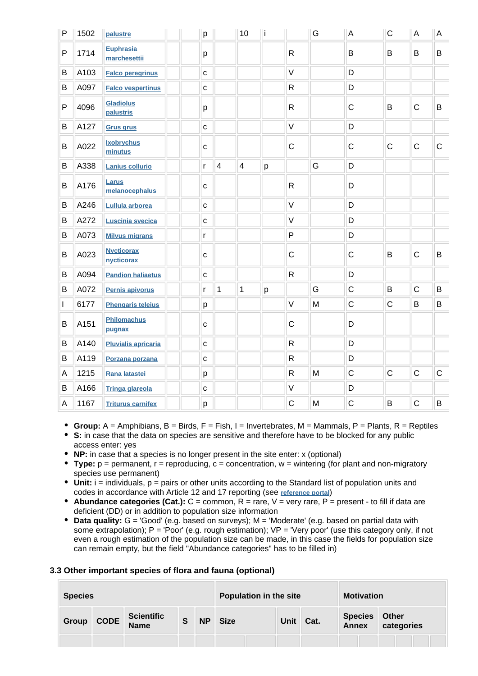| P | 1502 | palustre                         | p            |                | 10                       | ۱i |                         | G         | A            | $\mathsf C$ | A            | A           |
|---|------|----------------------------------|--------------|----------------|--------------------------|----|-------------------------|-----------|--------------|-------------|--------------|-------------|
| P | 1714 | <b>Euphrasia</b><br>marchesettii | р            |                |                          |    | $\mathsf{R}$            |           | B            | B           | B            | B           |
| B | A103 | <b>Falco peregrinus</b>          | $\mathbf C$  |                |                          |    | $\vee$                  |           | D            |             |              |             |
| B | A097 | <b>Falco vespertinus</b>         | $\mathbf c$  |                |                          |    | $\mathsf{R}$            |           | D            |             |              |             |
| P | 4096 | <b>Gladiolus</b><br>palustris    | p            |                |                          |    | $\mathsf{R}$            |           | $\mathsf C$  | B           | $\mathsf C$  | B           |
| B | A127 | <b>Grus grus</b>                 | $\mathbf c$  |                |                          |    | $\vee$                  |           | D            |             |              |             |
| B | A022 | <b>Ixobrychus</b><br>minutus     | $\mathbf C$  |                |                          |    | $\mathsf{C}$            |           | $\mathsf C$  | $\mathsf C$ | $\mathsf C$  | $\mathsf C$ |
| B | A338 | <b>Lanius collurio</b>           | $\mathsf{r}$ | $\overline{4}$ | $\overline{\mathcal{A}}$ | p  |                         | G         | D            |             |              |             |
| B | A176 | Larus<br>melanocephalus          | $\mathbf{C}$ |                |                          |    | $\mathsf{R}$            |           | D            |             |              |             |
| B | A246 | Lullula arborea                  | $\mathbf c$  |                |                          |    | $\vee$                  |           | D            |             |              |             |
| B | A272 | <b>Luscinia svecica</b>          | $\mathbf C$  |                |                          |    | $\vee$                  |           | D            |             |              |             |
| B | A073 | <b>Milvus migrans</b>            | r            |                |                          |    | $\mathsf{P}$            |           | D            |             |              |             |
| B | A023 | <b>Nycticorax</b><br>nycticorax  | $\mathbf{C}$ |                |                          |    | $\mathsf{C}$            |           | $\mathsf C$  | B           | $\mathsf C$  | B           |
| B | A094 | <b>Pandion haliaetus</b>         | $\mathbf{C}$ |                |                          |    | $\overline{\mathsf{R}}$ |           | D            |             |              |             |
| B | A072 | Pernis apivorus                  | r            | $\mathbf 1$    | $\mathbf{1}$             | p  |                         | G         | $\mathsf{C}$ | B           | $\mathsf{C}$ | B           |
| I | 6177 | <b>Phengaris teleius</b>         | p            |                |                          |    | $\vee$                  | ${\sf M}$ | $\mathsf C$  | $\mathsf C$ | B            | B           |
| B | A151 | <b>Philomachus</b><br>pugnax     | C            |                |                          |    | $\mathsf C$             |           | D            |             |              |             |
| B | A140 | <b>Pluvialis apricaria</b>       | $\mathbf{C}$ |                |                          |    | $\mathsf{R}$            |           | D            |             |              |             |
| B | A119 | Porzana porzana                  | $\mathbf C$  |                |                          |    | $\mathsf{R}$            |           | D            |             |              |             |
| A | 1215 | Rana latastei                    | p            |                |                          |    | $\mathsf{R}$            | M         | $\mathsf C$  | $\mathsf C$ | $\mathsf C$  | $\mathsf C$ |
| B | A166 | <b>Tringa glareola</b>           | $\mathbf{C}$ |                |                          |    | $\vee$                  |           | D            |             |              |             |
| A | 1167 | <b>Triturus carnifex</b>         | p            |                |                          |    | $\mathsf{C}$            | M         | $\mathsf{C}$ | B           | $\mathsf C$  | B           |

- **Group:** A = Amphibians, B = Birds, F = Fish, I = Invertebrates, M = Mammals, P = Plants, R = Reptiles
- **S:** in case that the data on species are sensitive and therefore have to be blocked for any public access enter: yes
- **NP:** in case that a species is no longer present in the site enter: x (optional)
- **Type:** p = permanent, r = reproducing, c = concentration, w = wintering (for plant and non-migratory species use permanent)
- Unit: i = individuals, p = pairs or other units according to the Standard list of population units and codes in accordance with Article 12 and 17 reporting (see **[reference portal](http://bd.eionet.europa.eu/activities/Natura_2000/reference_portal)**)
- **Abundance categories (Cat.):**  $C =$  common,  $R =$  rare,  $V =$  very rare,  $P =$  present to fill if data are deficient (DD) or in addition to population size information
- Data quality: G = 'Good' (e.g. based on surveys); M = 'Moderate' (e.g. based on partial data with some extrapolation);  $P = 'Poor'$  (e.g. rough estimation);  $VP = 'Very$  poor' (use this category only, if not even a rough estimation of the population size can be made, in this case the fields for population size can remain empty, but the field "Abundance categories" has to be filled in)

#### **3.3 Other important species of flora and fauna (optional)**

| <b>Species</b> |             |                                  |   |           |             |  | <b>Population in the site</b> |  |                         | <b>Motivation</b> |                     |  |  |  |
|----------------|-------------|----------------------------------|---|-----------|-------------|--|-------------------------------|--|-------------------------|-------------------|---------------------|--|--|--|
| Group          | <b>CODE</b> | <b>Scientific</b><br><b>Name</b> | S | <b>NP</b> | <b>Size</b> |  | Unit<br>Cat.                  |  | <b>Species</b><br>Annex |                   | Other<br>categories |  |  |  |
|                |             |                                  |   |           |             |  |                               |  |                         |                   |                     |  |  |  |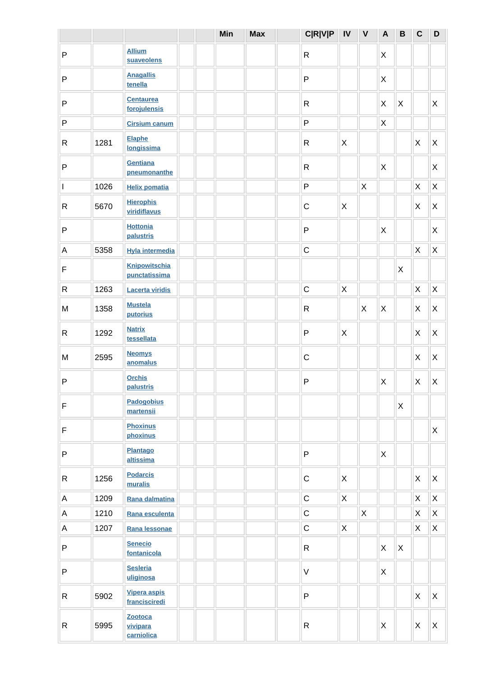|                           |      |                                       | Min | <b>Max</b> | <b>C R V P</b> | ${\sf IV}$  | $\mathsf{V}$ | $\overline{A}$ | $\, {\bf B}$ | $\mathbf C$               | D                         |
|---------------------------|------|---------------------------------------|-----|------------|----------------|-------------|--------------|----------------|--------------|---------------------------|---------------------------|
| P                         |      | <b>Allium</b><br>suaveolens           |     |            | $\mathsf{R}$   |             |              | X              |              |                           |                           |
| P                         |      | <b>Anagallis</b><br>tenella           |     |            | $\mathsf{P}$   |             |              | X              |              |                           |                           |
| P                         |      | <b>Centaurea</b><br>forojulensis      |     |            | $\mathsf{R}$   |             |              | X              | $\mathsf{X}$ |                           | X                         |
| $\mathsf{P}$              |      | <b>Cirsium canum</b>                  |     |            | $\mathsf{P}$   |             |              | X              |              |                           |                           |
| R                         | 1281 | <b>Elaphe</b><br>longissima           |     |            | $\mathsf{R}$   | X           |              |                |              | $\boldsymbol{\mathsf{X}}$ | X                         |
| $\sf P$                   |      | Gentiana<br>pneumonanthe              |     |            | $\mathsf{R}$   |             |              | X              |              |                           | X                         |
| I                         | 1026 | <b>Helix pomatia</b>                  |     |            | $\mathsf{P}$   |             | $\sf X$      |                |              | X                         | $\mathsf X$               |
| R                         | 5670 | <b>Hierophis</b><br>viridiflavus      |     |            | $\mathsf C$    | X           |              |                |              | $\boldsymbol{\mathsf{X}}$ | X                         |
| P                         |      | <b>Hottonia</b><br>palustris          |     |            | $\mathsf{P}$   |             |              | $\pmb{\times}$ |              |                           | X                         |
| $\boldsymbol{\mathsf{A}}$ | 5358 | <b>Hyla intermedia</b>                |     |            | $\mathsf C$    |             |              |                |              | $\mathsf X$               | $\mathsf X$               |
| F                         |      | <b>Knipowitschia</b><br>punctatissima |     |            |                |             |              |                | $\mathsf{X}$ |                           |                           |
| ${\sf R}$                 | 1263 | <b>Lacerta viridis</b>                |     |            | $\mathsf C$    | $\mathsf X$ |              |                |              | $\mathsf X$               | $\mathsf X$               |
| M                         | 1358 | <b>Mustela</b><br>putorius            |     |            | $\mathsf{R}$   |             | X            | X              |              | $\boldsymbol{\mathsf{X}}$ | $\mathsf X$               |
| R                         | 1292 | <b>Natrix</b><br>tessellata           |     |            | $\mathsf{P}$   | X           |              |                |              | X                         | $\mathsf X$               |
| M                         | 2595 | <b>Neomys</b><br>anomalus             |     |            | $\mathsf C$    |             |              |                |              | $\boldsymbol{\mathsf{X}}$ | $\pmb{\times}$            |
| P                         |      | <b>Orchis</b><br>palustris            |     |            | $\mathsf{P}$   |             |              | $\mathsf X$    |              | X                         | $\pmb{\times}$            |
| $\mathsf F$               |      | <b>Padogobius</b><br>martensii        |     |            |                |             |              |                | $\mathsf{X}$ |                           |                           |
| $\mathsf F$               |      | <b>Phoxinus</b><br>phoxinus           |     |            |                |             |              |                |              |                           | X                         |
| P                         |      | <b>Plantago</b><br>altissima          |     |            | $\mathsf{P}$   |             |              | X              |              |                           |                           |
| R                         | 1256 | <b>Podarcis</b><br>muralis            |     |            | $\mathsf C$    | X           |              |                |              | X                         | X                         |
| A                         | 1209 | Rana dalmatina                        |     |            | $\mathsf C$    | X           |              |                |              | X                         | $\boldsymbol{\mathsf{X}}$ |
| A                         | 1210 | Rana esculenta                        |     |            | $\mathsf C$    |             | $\mathsf{X}$ |                |              | X                         | X                         |
| A                         | 1207 | Rana lessonae                         |     |            | $\mathsf C$    | X           |              |                |              | X                         | X                         |
| $\mathsf P$               |      | <b>Senecio</b><br>fontanicola         |     |            | $\mathsf{R}$   |             |              | $\mathsf{X}$   | $\mathsf{X}$ |                           |                           |
| P                         |      | <b>Sesleria</b><br>uliginosa          |     |            | $\vee$         |             |              | X              |              |                           |                           |
| R                         | 5902 | <b>Vipera aspis</b><br>francisciredi  |     |            | P              |             |              |                |              | $\mathsf{X}$              | $\mathsf{X}$              |
| R                         | 5995 | Zootoca<br>vivipara<br>carniolica     |     |            | ${\sf R}$      |             |              | $\mathsf X$    |              | X                         | $\pmb{\times}$            |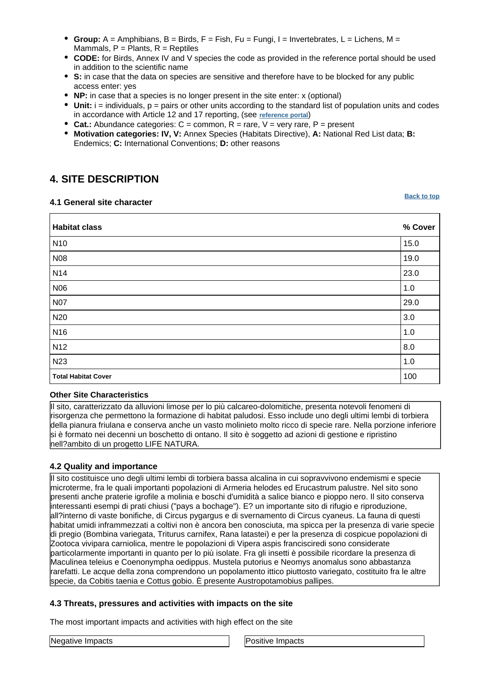- **Group:** A = Amphibians, B = Birds, F = Fish, Fu = Fungi, I = Invertebrates, L = Lichens, M = Mammals,  $P =$  Plants,  $R =$  Reptiles
- **CODE:** for Birds, Annex IV and V species the code as provided in the reference portal should be used in addition to the scientific name
- **S:** in case that the data on species are sensitive and therefore have to be blocked for any public access enter: yes
- **NP:** in case that a species is no longer present in the site enter: x (optional)
- $\bullet$  Unit: i = individuals,  $p =$  pairs or other units according to the standard list of population units and codes in accordance with Article 12 and 17 reporting, (see **[reference portal](http://bd.eionet.europa.eu/activities/Natura_2000/reference_portal)**)
- **Cat.:** Abundance categories:  $C =$  common,  $R =$  rare,  $V =$  very rare,  $P =$  present
- **Motivation categories: IV, V:** Annex Species (Habitats Directive), **A:** National Red List data; **B:** Endemics; **C:** International Conventions; **D:** other reasons

## <span id="page-5-0"></span>**4. SITE DESCRIPTION**

#### **4.1 General site character**

**[Back to top](#page-0-0)**

| <b>Habitat class</b>       | % Cover |
|----------------------------|---------|
| N <sub>10</sub>            | 15.0    |
| N08                        | 19.0    |
| N <sub>14</sub>            | 23.0    |
| <b>N06</b>                 | 1.0     |
| <b>N07</b>                 | 29.0    |
| N <sub>20</sub>            | 3.0     |
| N <sub>16</sub>            | 1.0     |
| N <sub>12</sub>            | 8.0     |
| N23                        | 1.0     |
| <b>Total Habitat Cover</b> | 100     |

#### **Other Site Characteristics**

Il sito, caratterizzato da alluvioni limose per lo più calcareo-dolomitiche, presenta notevoli fenomeni di risorgenza che permettono la formazione di habitat paludosi. Esso include uno degli ultimi lembi di torbiera della pianura friulana e conserva anche un vasto molinieto molto ricco di specie rare. Nella porzione inferiore si è formato nei decenni un boschetto di ontano. Il sito è soggetto ad azioni di gestione e ripristino nell?ambito di un progetto LIFE NATURA.

### **4.2 Quality and importance**

Il sito costituisce uno degli ultimi lembi di torbiera bassa alcalina in cui sopravvivono endemismi e specie microterme, fra le quali importanti popolazioni di Armeria helodes ed Erucastrum palustre. Nel sito sono presenti anche praterie igrofile a molinia e boschi d'umidità a salice bianco e pioppo nero. Il sito conserva interessanti esempi di prati chiusi ("pays a bochage"). E? un importante sito di rifugio e riproduzione, all?interno di vaste bonifiche, di Circus pygargus e di svernamento di Circus cyaneus. La fauna di questi habitat umidi inframmezzati a coltivi non è ancora ben conosciuta, ma spicca per la presenza di varie specie di pregio (Bombina variegata, Triturus carnifex, Rana latastei) e per la presenza di cospicue popolazioni di Zootoca vivipara carniolica, mentre le popolazioni di Vipera aspis francisciredi sono considerate particolarmente importanti in quanto per lo più isolate. Fra gli insetti è possibile ricordare la presenza di Maculinea teleius e Coenonympha oedippus. Mustela putorius e Neomys anomalus sono abbastanza rarefatti. Le acque della zona comprendono un popolamento ittico piuttosto variegato, costituito fra le altre specie, da Cobitis taenia e Cottus gobio. È presente Austropotamobius pallipes.

#### **4.3 Threats, pressures and activities with impacts on the site**

The most important impacts and activities with high effect on the site

|  |  |  | <b>Negative Impacts</b> |
|--|--|--|-------------------------|
|--|--|--|-------------------------|

Positive Impacts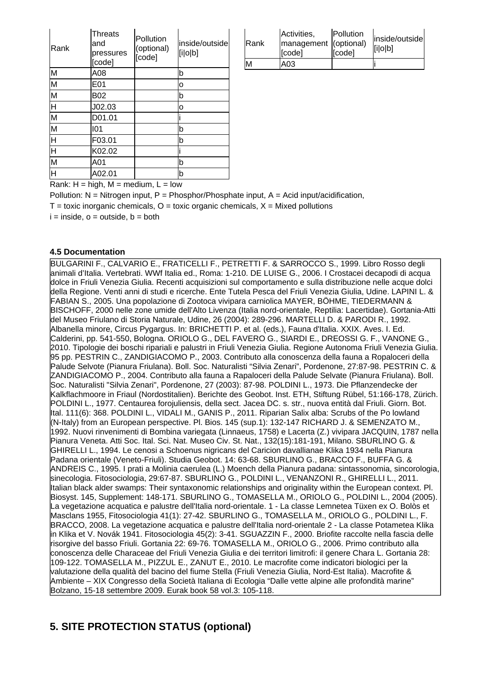| Rank                    | <b>Threats</b><br>and<br>pressures<br>[code] | Pollution<br>(optional)<br>[code] | inside/outside<br>[i o b] |
|-------------------------|----------------------------------------------|-----------------------------------|---------------------------|
| M                       | A08                                          |                                   | b                         |
| M                       | E01                                          |                                   | 0                         |
| M                       | B02                                          |                                   | b                         |
| Η                       | J02.03                                       |                                   | 0                         |
| $\overline{\mathsf{M}}$ | D01.01                                       |                                   |                           |
| M                       | 101                                          |                                   | b                         |
| H                       | F03.01                                       |                                   | b                         |
| H                       | K02.02                                       |                                   |                           |
| $\overline{\mathsf{M}}$ | A01                                          |                                   | b                         |
| H                       | A02.01                                       |                                   | b                         |

| <b>IRank</b> | Activities,<br>management (optional)<br>[code] | Pollution<br>[code] | inside/outside<br>[i o b] |
|--------------|------------------------------------------------|---------------------|---------------------------|
| м            | A03                                            |                     |                           |

Rank:  $H = high$ ,  $M = medium$ ,  $L = low$ 

Pollution:  $N =$  Nitrogen input, P = Phosphor/Phosphate input, A = Acid input/acidification,  $T =$  toxic inorganic chemicals,  $Q =$  toxic organic chemicals,  $X =$  Mixed pollutions

 $i = inside, o = outside, b = both$ 

#### **4.5 Documentation**

<span id="page-6-0"></span>BULGARINI F., CALVARIO E., FRATICELLI F., PETRETTI F. & SARROCCO S., 1999. Libro Rosso degli animali d'Italia. Vertebrati. WWf Italia ed., Roma: 1-210. DE LUISE G., 2006. I Crostacei decapodi di acqua dolce in Friuli Venezia Giulia. Recenti acquisizioni sul comportamento e sulla distribuzione nelle acque dolci della Regione. Venti anni di studi e ricerche. Ente Tutela Pesca del Friuli Venezia Giulia, Udine. LAPINI L. & FABIAN S., 2005. Una popolazione di Zootoca vivipara carniolica MAYER, BÖHME, TIEDERMANN & BISCHOFF, 2000 nelle zone umide dell'Alto Livenza (Italia nord-orientale, Reptilia: Lacertidae). Gortania-Atti del Museo Friulano di Storia Naturale, Udine, 26 (2004): 289-296. MARTELLI D. & PARODI R., 1992. Albanella minore, Circus Pygargus. In: BRICHETTI P. et al. (eds.), Fauna d'Italia. XXIX. Aves. I. Ed. Calderini, pp. 541-550, Bologna. ORIOLO G., DEL FAVERO G., SIARDI E., DREOSSI G. F., VANONE G., 2010. Tipologie dei boschi ripariali e palustri in Friuli Venezia Giulia. Regione Autonoma Friuli Venezia Giulia. 95 pp. PESTRIN C., ZANDIGIACOMO P., 2003. Contributo alla conoscenza della fauna a Ropaloceri della Palude Selvote (Pianura Friulana). Boll. Soc. Naturalisti "Silvia Zenari", Pordenone, 27:87-98. PESTRIN C. & ZANDIGIACOMO P., 2004. Contributo alla fauna a Rapaloceri della Palude Selvate (Pianura Friulana). Boll. Soc. Naturalisti "Silvia Zenari", Pordenone, 27 (2003): 87-98. POLDINI L., 1973. Die Pflanzendecke der Kalkflachmoore in Friaul (Nordostitalien). Berichte des Geobot. Inst. ETH, Stiftung Rübel, 51:166-178, Zürich. POLDINI L., 1977. Centaurea forojuliensis, della sect. Jacea DC. s. str., nuova entità dal Friuli. Giorn. Bot. Ital. 111(6): 368. POLDINI L., VIDALI M., GANIS P., 2011. Riparian Salix alba: Scrubs of the Po lowland (N-Italy) from an European perspective. Pl. Bios. 145 (sup.1): 132-147 RICHARD J. & SEMENZATO M., 1992. Nuovi rinvenimenti di Bombina variegata (Linnaeus, 1758) e Lacerta (Z.) vivipara JACQUIN, 1787 nella Pianura Veneta. Atti Soc. Ital. Sci. Nat. Museo Civ. St. Nat., 132(15):181-191, Milano. SBURLINO G. & GHIRELLI L., 1994. Le cenosi a Schoenus nigricans del Caricion davallianae Klika 1934 nella Pianura Padana orientale (Veneto-Friuli). Studia Geobot. 14: 63-68. SBURLINO G., BRACCO F., BUFFA G. & ANDREIS C., 1995. I prati a Molinia caerulea (L.) Moench della Pianura padana: sintassonomia, sincorologia, sinecologia. Fitosociologia, 29:67-87. SBURLINO G., POLDINI L., VENANZONI R., GHIRELLI L., 2011. Italian black alder swamps: Their syntaxonomic relationships and originality within the European context. Pl. Biosyst. 145, Supplement: 148-171. SBURLINO G., TOMASELLA M., ORIOLO G., POLDINI L., 2004 (2005). La vegetazione acquatica e palustre dell'Italia nord-orientale. 1 - La classe Lemnetea Tüxen ex O. Bolòs et Masclans 1955, Fitosociologia 41(1): 27-42. SBURLINO G., TOMASELLA M., ORIOLO G., POLDINI L., F. BRACCO, 2008. La vegetazione acquatica e palustre dell'Italia nord-orientale 2 - La classe Potametea Klika in Klika et V. Novák 1941. Fitosociologia 45(2): 3-41. SGUAZZIN F., 2000. Briofite raccolte nella fascia delle risorgive del basso Friuli. Gortania 22: 69-76. TOMASELLA M., ORIOLO G., 2006. Primo contributo alla conoscenza delle Characeae del Friuli Venezia Giulia e dei territori limitrofi: il genere Chara L. Gortania 28: 109-122. TOMASELLA M., PIZZUL E., ZANUT E., 2010. Le macrofite come indicatori biologici per la valutazione della qualità del bacino del fiume Stella (Friuli Venezia Giulia, Nord-Est Italia). Macrofite & Ambiente – XIX Congresso della Società Italiana di Ecologia "Dalle vette alpine alle profondità marine" Bolzano, 15-18 settembre 2009. Eurak book 58 vol.3: 105-118.